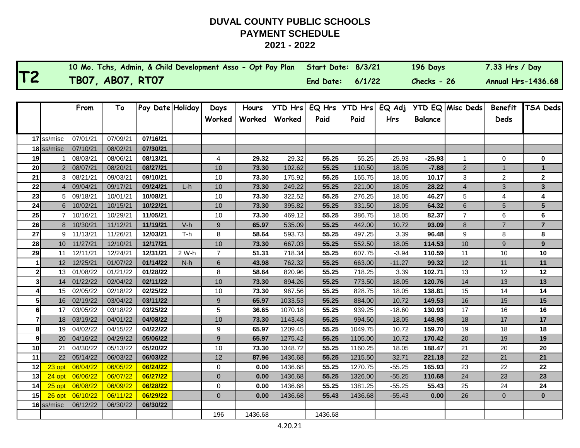г

|              |                 | 10 Mo. Tchs, Admin, & Child Development Asso - Opt Pay Plan |                  |                  |       |                  |         |                | Start Date: 8/3/21 |                |          | 196 Days       |                         | 7.33 Hrs / Day            |                         |
|--------------|-----------------|-------------------------------------------------------------|------------------|------------------|-------|------------------|---------|----------------|--------------------|----------------|----------|----------------|-------------------------|---------------------------|-------------------------|
| T2           |                 |                                                             | TB07, AB07, RT07 |                  |       |                  |         |                | End Date:          | 6/1/22         |          | Checks - 26    |                         | <b>Annual Hrs-1436.68</b> |                         |
|              |                 |                                                             |                  |                  |       |                  |         |                |                    |                |          |                |                         |                           |                         |
|              |                 | From                                                        | To               | Pay Date Holiday |       | Days             | Hours   | <b>YTD Hrs</b> | EQ Hrs             | <b>YTD Hrs</b> | EQ Adj   |                | <b>YTD EQ Misc Deds</b> | <b>Benefit</b>            | <b>TSA Deds</b>         |
|              |                 |                                                             |                  |                  |       | Worked           | Worked  | Worked         | Paid               | Paid           | Hrs      | <b>Balance</b> |                         | Deds                      |                         |
|              |                 |                                                             |                  |                  |       |                  |         |                |                    |                |          |                |                         |                           |                         |
|              | 17 ss/misc      | 07/01/21                                                    | 07/09/21         | 07/16/21         |       |                  |         |                |                    |                |          |                |                         |                           |                         |
|              | 18 ss/misc      | 07/10/21                                                    | 08/02/21         | 07/30/21         |       |                  |         |                |                    |                |          |                |                         |                           |                         |
| 19           |                 | 08/03/21                                                    | 08/06/21         | 08/13/21         |       | 4                | 29.32   | 29.32          | 55.25              | 55.25          | $-25.93$ | $-25.93$       | 1                       | $\Omega$                  | 0                       |
| 20           | $\overline{2}$  | 08/07/21                                                    | 08/20/21         | 08/27/21         |       | 10               | 73.30   | 102.62         | 55.25              | 110.50         | 18.05    | $-7.88$        | $\overline{c}$          | $\overline{1}$            | $\mathbf{1}$            |
| 21           | 3               | 08/21/21                                                    | 09/03/21         | 09/10/21         |       | 10               | 73.30   | 175.92         | 55.25              | 165.75         | 18.05    | 10.17          | 3                       | 2                         | $\mathbf 2$             |
| 22           |                 | 09/04/21                                                    | 09/17/21         | 09/24/21         | L-h   | 10               | 73.30   | 249.22         | 55.25              | 221.00         | 18.05    | 28.22          | 4                       | 3                         | ${\bf 3}$               |
| 23           | 5               | 09/18/21                                                    | 10/01/21         | 10/08/21         |       | 10               | 73.30   | 322.52         | 55.25              | 276.25         | 18.05    | 46.27          | 5                       | 4                         | 4                       |
| 24           | $6 \mid$        | 10/02/21                                                    | 10/15/21         | 10/22/21         |       | 10               | 73.30   | 395.82         | 55.25              | 331.50         | 18.05    | 64.32          | 6                       | $\sqrt{5}$                | $5\phantom{.0}$         |
| 25           | $\overline{7}$  | 10/16/21                                                    | 10/29/21         | 11/05/21         |       | 10               | 73.30   | 469.12         | 55.25              | 386.75         | 18.05    | 82.37          | $\overline{7}$          | 6                         | 6                       |
| 26           | 8 <sup>1</sup>  | 10/30/21                                                    | 11/12/21         | 11/19/21         | $V-h$ | 9                | 65.97   | 535.09         | 55.25              | 442.00         | 10.72    | 93.09          | 8                       | $\overline{7}$            | $\overline{\mathbf{7}}$ |
| 27           | 9 <sub>l</sub>  | 11/13/21                                                    | 11/26/21         | 12/03/21         | T-h   | 8                | 58.64   | 593.73         | 55.25              | 497.25         | 3.39     | 96.48          | 9                       | 8                         | 8                       |
| 28           | 10 <sup>1</sup> | 11/27/21                                                    | 12/10/21         | 12/17/21         |       | 10               | 73.30   | 667.03         | 55.25              | 552.50         | 18.05    | 114.53         | 10                      | 9                         | 9                       |
| 29           | 111             | 12/11/21                                                    | 12/24/21         | 12/31/21         | 2 W-h | $\overline{7}$   | 51.31   | 718.34         | 55.25              | 607.75         | $-3.94$  | 110.59         | 11                      | 10                        | 10                      |
|              | 12              | 12/25/21                                                    | 01/07/22         | 01/14/22         | N-h   | $\,$ 6 $\,$      | 43.98   | 762.32         | 55.25              | 663.00         | -11.27   | 99.32          | 12                      | 11                        | 11                      |
| $\mathbf{2}$ | 13 <sub>l</sub> | 01/08/22                                                    | 01/21/22         | 01/28/22         |       | 8                | 58.64   | 820.96         | 55.25              | 718.25         | 3.39     | 102.71         | 13                      | 12                        | 12                      |
| 3            | 14              | 01/22/22                                                    | 02/04/22         | 02/11/22         |       | 10               | 73.30   | 894.26         | 55.25              | 773.50         | 18.05    | 120.76         | 14                      | 13                        | 13                      |
|              | 15 <sub>l</sub> | 02/05/22                                                    | 02/18/22         | 02/25/22         |       | 10               | 73.30   | 967.56         | 55.25              | 828.75         | 18.05    | 138.81         | 15                      | 14                        | 14                      |
| 5            | 16              | 02/19/22                                                    | 03/04/22         | 03/11/22         |       | $\boldsymbol{9}$ | 65.97   | 1033.53        | 55.25              | 884.00         | 10.72    | 149.53         | 16                      | 15                        | 15                      |
| 6            | 17              | 03/05/22                                                    | 03/18/22         | 03/25/22         |       | 5                | 36.65   | 1070.18        | 55.25              | 939.25         | $-18.60$ | 130.93         | 17                      | 16                        | 16                      |
|              | 18              | 03/19/22                                                    | 04/01/22         | 04/08/22         |       | 10               | 73.30   | 1143.48        | 55.25              | 994.50         | 18.05    | 148.98         | 18                      | 17                        | 17                      |
| 8            | 19 <sup>1</sup> | 04/02/22                                                    | 04/15/22         | 04/22/22         |       | 9                | 65.97   | 1209.45        | 55.25              | 1049.75        | 10.72    | 159.70         | 19                      | 18                        | 18                      |
| 9            | 20              | 04/16/22                                                    | 04/29/22         | 05/06/22         |       | $\boldsymbol{9}$ | 65.97   | 1275.42        | 55.25              | 1105.00        | 10.72    | 170.42         | 20                      | 19                        | 19                      |
| 10           | 211             | 04/30/22                                                    | 05/13/22         | 05/20/22         |       | 10               | 73.30   | 1348.72        | 55.25              | 1160.25        | 18.05    | 188.47         | 21                      | 20                        | 20                      |
| 11           | 22              | 05/14/22                                                    | 06/03/22         | 06/03/22         |       | 12               | 87.96   | 1436.68        | 55.25              | 1215.50        | 32.71    | 221.18         | 22                      | 21                        | 21                      |
| 12           | 23 opt          | 06/04/22                                                    | 06/05/22         | 06/24/22         |       | 0                | 0.00    | 1436.68        | 55.25              | 1270.75        | $-55.25$ | 165.93         | 23                      | 22                        | 22                      |
| 13           | $24$ opt        | 06/06/22                                                    | 06/07/22         | 06/27/22         |       | $\overline{0}$   | 0.00    | 1436.68        | 55.25              | 1326.00        | $-55.25$ | 110.68         | 24                      | 23                        | 23                      |
| 14           | $25$ opt        | 06/08/22                                                    | 06/09/22         | 06/28/22         |       | 0                | 0.00    | 1436.68        | 55.25              | 1381.25        | $-55.25$ | 55.43          | 25                      | 24                        | 24                      |
| 15           | $26$ opt        | 06/10/22                                                    | 06/11/22         | 06/29/22         |       | $\Omega$         | 0.00    | 1436.68        | 55.43              | 1436.68        | $-55.43$ | 0.00           | 26                      | $\mathbf{0}$              | $\mathbf{0}$            |
|              | 16 ss/misc      | 06/12/22                                                    | 06/30/22         | 06/30/22         |       |                  |         |                |                    |                |          |                |                         |                           |                         |
|              |                 |                                                             |                  |                  |       | 196              | 1436.68 |                | 1436.68            |                |          |                |                         |                           |                         |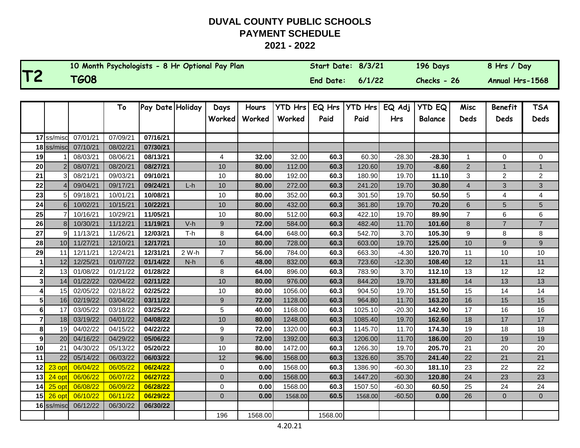| 10 Month Psychologists - 8 Hr Optional Pay Plan | <b>Start Date:</b> | 8/3/21 | 196 Days    | 8 Hrs / Day     |
|-------------------------------------------------|--------------------|--------|-------------|-----------------|
| <b>TG08</b>                                     | <b>End Date:</b>   | 6/1/22 | Checks - 26 | Annual Hrs-1568 |

|                |                 |          | To       | Pay Date Holiday |       | Days           | Hours   | <b>YTD Hrs</b> | EQ Hrs  | <b>YTD Hrs</b> | EQ Adj   | <b>YTD EQ</b>  | Misc           | <b>Benefit</b> | <b>TSA</b>     |
|----------------|-----------------|----------|----------|------------------|-------|----------------|---------|----------------|---------|----------------|----------|----------------|----------------|----------------|----------------|
|                |                 |          |          |                  |       | Worked         | Worked  | Worked         | Paid    | Paid           | Hrs      | <b>Balance</b> | <b>Deds</b>    | <b>Deds</b>    | <b>Deds</b>    |
|                |                 |          |          |                  |       |                |         |                |         |                |          |                |                |                |                |
|                | 17 ss/misc      | 07/01/21 | 07/09/21 | 07/16/21         |       |                |         |                |         |                |          |                |                |                |                |
|                | 18 ss/misc      | 07/10/21 | 08/02/21 | 07/30/21         |       |                |         |                |         |                |          |                |                |                |                |
| 19             |                 | 08/03/21 | 08/06/21 | 08/13/21         |       | 4              | 32.00   | 32.00          | 60.3    | 60.30          | $-28.30$ | $-28.30$       | $\mathbf{1}$   | 0              | 0              |
| 20             |                 | 08/07/21 | 08/20/21 | 08/27/21         |       | 10             | 80.00   | 112.00         | 60.3    | 120.60         | 19.70    | $-8.60$        | $\overline{2}$ | $\mathbf{1}$   | $\mathbf{1}$   |
| 21             |                 | 08/21/21 | 09/03/21 | 09/10/21         |       | 10             | 80.00   | 192.00         | 60.3    | 180.90         | 19.70    | 11.10          | 3              | 2              | $\overline{a}$ |
| 22             |                 | 09/04/21 | 09/17/21 | 09/24/21         | $L-h$ | $10$           | 80.00   | 272.00         | 60.3    | 241.20         | 19.70    | 30.80          | $\overline{4}$ | 3              | 3              |
| 23             |                 | 09/18/21 | 10/01/21 | 10/08/21         |       | 10             | 80.00   | 352.00         | 60.3    | 301.50         | 19.70    | 50.50          | 5              | 4              | 4              |
| 24             | 6 <sup>1</sup>  | 10/02/21 | 10/15/21 | 10/22/21         |       | 10             | 80.00   | 432.00         | 60.3    | 361.80         | 19.70    | 70.20          | 6              | 5              | 5              |
| 25             |                 | 10/16/21 | 10/29/21 | 11/05/21         |       | 10             | 80.00   | 512.00         | 60.3    | 422.10         | 19.70    | 89.90          | $\overline{7}$ | 6              | 6              |
| 26             | 8 <sup>1</sup>  | 10/30/21 | 11/12/21 | 11/19/21         | $V-h$ | 9              | 72.00   | 584.00         | 60.3    | 482.40         | 11.70    | 101.60         | 8              | $\overline{7}$ | $\overline{7}$ |
| 27             | $\mathsf{Q}$    | 11/13/21 | 11/26/21 | 12/03/21         | $T-h$ | 8              | 64.00   | 648.00         | 60.3    | 542.70         | 3.70     | 105.30         | 9              | 8              | 8              |
| 28             | 10 <sup>1</sup> | 11/27/21 | 12/10/21 | 12/17/21         |       | $10$           | 80.00   | 728.00         | 60.3    | 603.00         | 19.70    | 125.00         | 10             | 9              | 9              |
| 29             | 11              | 12/11/21 | 12/24/21 | 12/31/21         | 2 W-h | $\overline{7}$ | 56.00   | 784.00         | 60.3    | 663.30         | $-4.30$  | 120.70         | 11             | 10             | 10             |
|                | 12              | 12/25/21 | 01/07/22 | 01/14/22         | $N-h$ | 6              | 48.00   | 832.00         | 60.3    | 723.60         | $-12.30$ | 108.40         | 12             | 11             | 11             |
| 2              | 13 <sup>l</sup> | 01/08/22 | 01/21/22 | 01/28/22         |       | 8              | 64.00   | 896.00         | 60.3    | 783.90         | 3.70     | 112.10         | 13             | 12             | 12             |
| 3              | 14              | 01/22/22 | 02/04/22 | 02/11/22         |       | 10             | 80.00   | 976.00         | 60.3    | 844.20         | 19.70    | 131.80         | 14             | 13             | 13             |
| 4              | 15              | 02/05/22 | 02/18/22 | 02/25/22         |       | 10             | 80.00   | 1056.00        | 60.3    | 904.50         | 19.70    | 151.50         | 15             | 14             | 14             |
| 5 <sup>1</sup> | 16              | 02/19/22 | 03/04/22 | 03/11/22         |       | 9              | 72.00   | 1128.00        | 60.3    | 964.80         | 11.70    | 163.20         | 16             | 15             | 15             |
| 6              | 17              | 03/05/22 | 03/18/22 | 03/25/22         |       | 5              | 40.00   | 1168.00        | 60.3    | 1025.10        | $-20.30$ | 142.90         | 17             | 16             | 16             |
| $\overline{7}$ | 18              | 03/19/22 | 04/01/22 | 04/08/22         |       | 10             | 80.00   | 1248.00        | 60.3    | 1085.40        | 19.70    | 162.60         | 18             | 17             | 17             |
| 8              | 19              | 04/02/22 | 04/15/22 | 04/22/22         |       | 9              | 72.00   | 1320.00        | 60.3    | 1145.70        | 11.70    | 174.30         | 19             | 18             | 18             |
| 9              | 20              | 04/16/22 | 04/29/22 | 05/06/22         |       | 9              | 72.00   | 1392.00        | 60.3    | 1206.00        | 11.70    | 186.00         | 20             | 19             | 19             |
| 10             | 21              | 04/30/22 | 05/13/22 | 05/20/22         |       | 10             | 80.00   | 1472.00        | 60.3    | 1266.30        | 19.70    | 205.70         | 21             | 20             | 20             |
| 11             | 22              | 05/14/22 | 06/03/22 | 06/03/22         |       | 12             | 96.00   | 1568.00        | 60.3    | 1326.60        | 35.70    | 241.40         | 22             | 21             | 21             |
| 12             | 23 opt          | 06/04/22 | 06/05/22 | 06/24/22         |       | 0              | 0.00    | 1568.00        | 60.3    | 1386.90        | $-60.30$ | 181.10         | 23             | 22             | 22             |
| 13             | $24$ op         | 06/06/22 | 06/07/22 | 06/27/22         |       | 0              | 0.00    | 1568.00        | 60.3    | 1447.20        | $-60.30$ | 120.80         | 24             | 23             | 23             |
| 14             | 25 opt          | 06/08/22 | 06/09/22 | 06/28/22         |       | $\mathbf 0$    | 0.00    | 1568.00        | 60.3    | 1507.50        | $-60.30$ | 60.50          | 25             | 24             | 24             |
| 15             | 26 opt          | 06/10/22 | 06/11/22 | 06/29/22         |       | $\overline{0}$ | 0.00    | 1568.00        | 60.5    | 1568.00        | $-60.50$ | 0.00           | 26             | $\overline{0}$ | $\overline{0}$ |
|                | 16 ss/misc      | 06/12/22 | 06/30/22 | 06/30/22         |       |                |         |                |         |                |          |                |                |                |                |
|                |                 |          |          |                  |       | 196            | 1568.00 |                | 1568.00 |                |          |                |                |                |                |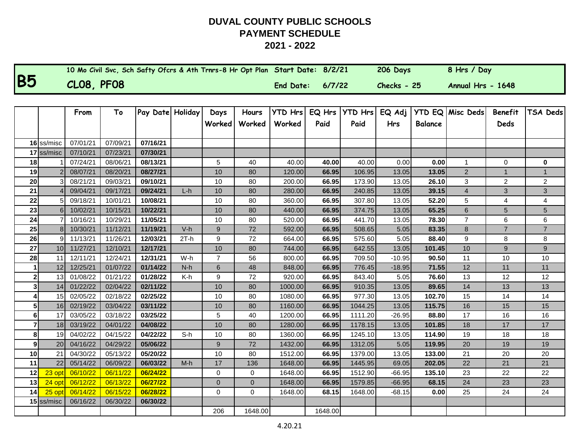|           | 10 Mo Civil Svc, Sch Safty Ofcrs & Ath Trnrs-8 Hr Opt Plan Start Date: 8/2/21 |                  |        | 206 Days    | 8 Hrs / Day       |
|-----------|-------------------------------------------------------------------------------|------------------|--------|-------------|-------------------|
| <b>B5</b> | CLO8, PFO8                                                                    | <b>End Date:</b> | 6/7/22 | Checks - 25 | Annual Hrs - 1648 |

|                |                | From     | To       | Pay Date Holiday |        | Days           | Hours       | <b>YTD Hrs</b> | EQ Hrs  | <b>YTD Hrs</b> | EQ Adj     |                | YTD EQ Misc Deds | <b>Benefit</b> | TSA Deds       |
|----------------|----------------|----------|----------|------------------|--------|----------------|-------------|----------------|---------|----------------|------------|----------------|------------------|----------------|----------------|
|                |                |          |          |                  |        | Worked         | Worked      | Worked         | Paid    | Paid           | <b>Hrs</b> | <b>Balance</b> |                  | Deds           |                |
|                |                |          |          |                  |        |                |             |                |         |                |            |                |                  |                |                |
|                | 16 ss/misc     | 07/01/21 | 07/09/21 | 07/16/21         |        |                |             |                |         |                |            |                |                  |                |                |
|                | 17 ss/misc     | 07/10/21 | 07/23/21 | 07/30/21         |        |                |             |                |         |                |            |                |                  |                |                |
| 18             |                | 07/24/21 | 08/06/21 | 08/13/21         |        | 5              | 40          | 40.00          | 40.00   | 40.00          | 0.00       | 0.00           | 1                | $\mathbf 0$    | 0              |
| 19             |                | 08/07/21 | 08/20/21 | 08/27/21         |        | 10             | 80          | 120.00         | 66.95   | 106.95         | 13.05      | 13.05          | $\overline{2}$   | $\overline{1}$ |                |
| 20             | 3              | 08/21/21 | 09/03/21 | 09/10/21         |        | 10             | 80          | 200.00         | 66.95   | 173.90         | 13.05      | 26.10          | $\mathfrak{Z}$   | $\overline{2}$ | $\overline{c}$ |
| 21             |                | 09/04/21 | 09/17/21 | 09/24/21         | $L-h$  | 10             | 80          | 280.00         | 66.95   | 240.85         | 13.05      | 39.15          | $\overline{4}$   | 3              | 3              |
| 22             | 5              | 09/18/21 | 10/01/21 | 10/08/21         |        | 10             | 80          | 360.00         | 66.95   | 307.80         | 13.05      | 52.20          | 5                | 4              | 4              |
| 23             | 6              | 10/02/21 | 10/15/21 | 10/22/21         |        | 10             | 80          | 440.00         | 66.95   | 374.75         | 13.05      | 65.25          | $\,$ 6 $\,$      | 5              | 5              |
| 24             | $\overline{7}$ | 10/16/21 | 10/29/21 | 11/05/21         |        | 10             | 80          | 520.00         | 66.95   | 441.70         | 13.05      | 78.30          | $\overline{7}$   | 6              | 6              |
| 25             | 8              | 10/30/21 | 11/12/21 | 11/19/21         | $V-h$  | 9              | 72          | 592.00         | 66.95   | 508.65         | 5.05       | 83.35          | 8                | $\overline{7}$ | $\overline{7}$ |
| 26             | 9              | 11/13/21 | 11/26/21 | 12/03/21         | $2T-h$ | 9              | 72          | 664.00         | 66.95   | 575.60         | 5.05       | 88.40          | 9                | 8              | 8              |
| 27             | 10             | 11/27/21 | 12/10/21 | 12/17/21         |        | 10             | 80          | 744.00         | 66.95   | 642.55         | 13.05      | 101.45         | 10               | 9              | 9              |
| 28             | 11             | 12/11/21 | 12/24/21 | 12/31/21         | W-h    | $\overline{7}$ | 56          | 800.00         | 66.95   | 709.50         | $-10.95$   | 90.50          | 11               | 10             | 10             |
|                | 12             | 12/25/21 | 01/07/22 | 01/14/22         | $N-h$  | 6              | 48          | 848.00         | 66.95   | 776.45         | $-18.95$   | 71.55          | 12               | 11             | 11             |
| 2              | 13             | 01/08/22 | 01/21/22 | 01/28/22         | K-h    | 9              | 72          | 920.00         | 66.95   | 843.40         | 5.05       | 76.60          | 13               | 12             | 12             |
| 3              | 14             | 01/22/22 | 02/04/22 | 02/11/22         |        | 10             | 80          | 1000.00        | 66.95   | 910.35         | 13.05      | 89.65          | 14               | 13             | 13             |
|                | 15             | 02/05/22 | 02/18/22 | 02/25/22         |        | 10             | 80          | 1080.00        | 66.95   | 977.30         | 13.05      | 102.70         | 15               | 14             | 14             |
| 5              | 16             | 02/19/22 | 03/04/22 | 03/11/22         |        | 10             | 80          | 1160.00        | 66.95   | 1044.25        | 13.05      | 115.75         | 16               | 15             | 15             |
| 6              | 17             | 03/05/22 | 03/18/22 | 03/25/22         |        | 5              | 40          | 1200.00        | 66.95   | 1111.20        | $-26.95$   | 88.80          | 17               | 16             | 16             |
| $\overline{7}$ | 18             | 03/19/22 | 04/01/22 | 04/08/22         |        | 10             | 80          | 1280.00        | 66.95   | 1178.15        | 13.05      | 101.85         | 18               | 17             | 17             |
| 8              | 19             | 04/02/22 | 04/15/22 | 04/22/22         | $S-h$  | 10             | 80          | 1360.00        | 66.95   | 1245.10        | 13.05      | 114.90         | 19               | 18             | 18             |
| 9 <sup>1</sup> | 20             | 04/16/22 | 04/29/22 | 05/06/22         |        | 9              | 72          | 1432.00        | 66.95   | 1312.05        | 5.05       | 119.95         | 20               | 19             | 19             |
| 10             | 21             | 04/30/22 | 05/13/22 | 05/20/22         |        | 10             | 80          | 1512.00        | 66.95   | 1379.00        | 13.05      | 133.00         | 21               | 20             | 20             |
| 11             | 22             | 05/14/22 | 06/09/22 | 06/03/22         | $M-h$  | 17             | 136         | 1648.00        | 66.95   | 1445.95        | 69.05      | 202.05         | 22               | 21             | 21             |
| 12             | 23 opt         | 06/10/22 | 06/11/22 | 06/24/22         |        | 0              | 0           | 1648.00        | 66.95   | 1512.90        | $-66.95$   | 135.10         | 23               | 22             | 22             |
| 13             | 24 opt         | 06/12/22 | 06/13/22 | 06/27/22         |        | $\overline{0}$ | $\mathbf 0$ | 1648.00        | 66.95   | 1579.85        | $-66.95$   | 68.15          | 24               | 23             | 23             |
| 14             | 25 opt         | 06/14/22 | 06/15/22 | 06/28/22         |        | 0              | $\mathbf 0$ | 1648.00        | 68.15   | 1648.00        | $-68.15$   | 0.00           | 25               | 24             | 24             |
|                | 15 ss/misc     | 06/16/22 | 06/30/22 | 06/30/22         |        |                |             |                |         |                |            |                |                  |                |                |
|                |                |          |          |                  |        | 206            | 1648.00     |                | 1648.00 |                |            |                |                  |                |                |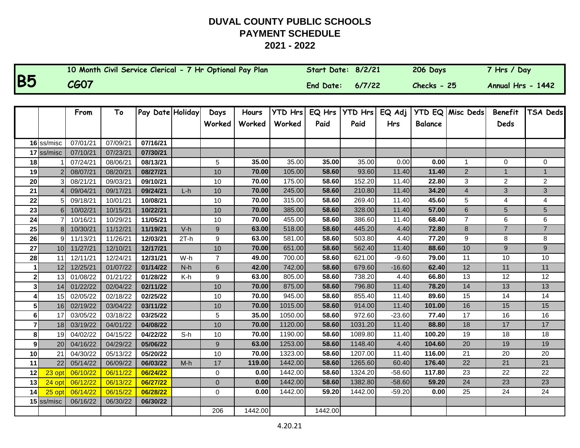|           | 10 Month Civil Service Clerical - 7 Hr Optional Pay Plan | Start Date: 8/2/21 |        | 206 Days      | 7 Hrs / Day       |
|-----------|----------------------------------------------------------|--------------------|--------|---------------|-------------------|
| <b>B5</b> | <b>CG07</b>                                              | End Date:          | 6/7/22 | $Checks - 25$ | Annual Hrs - 1442 |

|                  |                 | From     | To       | Pay Date Holiday |        | Days           | <b>Hours</b> | <b>YTD Hrs</b> | EQ Hrs  | <b>YTD Hrs</b> | EQ Adj     |                | <b>YTD EQ Misc Deds</b> | <b>Benefit</b> | TSA Deds       |
|------------------|-----------------|----------|----------|------------------|--------|----------------|--------------|----------------|---------|----------------|------------|----------------|-------------------------|----------------|----------------|
|                  |                 |          |          |                  |        | Worked         | Worked       | Worked         | Paid    | Paid           | <b>Hrs</b> | <b>Balance</b> |                         | <b>Deds</b>    |                |
|                  |                 |          |          |                  |        |                |              |                |         |                |            |                |                         |                |                |
|                  | 16 ss/misc      | 07/01/21 | 07/09/21 | 07/16/21         |        |                |              |                |         |                |            |                |                         |                |                |
|                  | 17 ss/misc      | 07/10/21 | 07/23/21 | 07/30/21         |        |                |              |                |         |                |            |                |                         |                |                |
| 18               |                 | 07/24/21 | 08/06/21 | 08/13/21         |        | 5              | 35.00        | 35.00          | 35.00   | 35.00          | 0.00       | 0.00           | $\mathbf{1}$            | $\mathbf{0}$   | 0              |
| 19               |                 | 08/07/21 | 08/20/21 | 08/27/21         |        | 10             | 70.00        | 105.00         | 58.60   | 93.60          | 11.40      | 11.40          | $\overline{2}$          | $\mathbf{1}$   | 1              |
| 20               | 3               | 08/21/21 | 09/03/21 | 09/10/21         |        | 10             | 70.00        | 175.00         | 58.60   | 152.20         | 11.40      | 22.80          | 3                       | $\overline{2}$ | $\overline{2}$ |
| 21               |                 | 09/04/21 | 09/17/21 | 09/24/21         | $L-h$  | 10             | 70.00        | 245.00         | 58.60   | 210.80         | 11.40      | 34.20          | $\overline{\mathbf{4}}$ | 3              | 3              |
| 22               | 5               | 09/18/21 | 10/01/21 | 10/08/21         |        | 10             | 70.00        | 315.00         | 58.60   | 269.40         | 11.40      | 45.60          | 5                       | $\overline{4}$ | 4              |
| 23               | 6               | 10/02/21 | 10/15/21 | 10/22/21         |        | 10             | 70.00        | 385.00         | 58.60   | 328.00         | 11.40      | 57.00          | $\,$ 6 $\,$             | 5              | 5              |
| 24               | $\overline{7}$  | 10/16/21 | 10/29/21 | 11/05/21         |        | 10             | 70.00        | 455.00         | 58.60   | 386.60         | 11.40      | 68.40          | $\overline{7}$          | 6              | 6              |
| 25               | 8               | 10/30/21 | 11/12/21 | 11/19/21         | $V-h$  | 9              | 63.00        | 518.00         | 58.60   | 445.20         | 4.40       | 72.80          | 8                       | $\overline{7}$ | $\overline{7}$ |
| 26               | 9               | 11/13/21 | 11/26/21 | 12/03/21         | $2T-h$ | 9              | 63.00        | 581.00         | 58.60   | 503.80         | 4.40       | 77.20          | 9                       | 8              | 8              |
| 27               | 10 <sup>1</sup> | 11/27/21 | 12/10/21 | 12/17/21         |        | 10             | 70.00        | 651.00         | 58.60   | 562.40         | 11.40      | 88.60          | 10                      | 9              | 9              |
| 28               | 11              | 12/11/21 | 12/24/21 | 12/31/21         | W-h    | $\overline{7}$ | 49.00        | 700.00         | 58.60   | 621.00         | $-9.60$    | 79.00          | 11                      | 10             | 10             |
|                  | 12              | 12/25/21 | 01/07/22 | 01/14/22         | $N-h$  | $\,6$          | 42.00        | 742.00         | 58.60   | 679.60         | $-16.60$   | 62.40          | 12                      | 11             | 11             |
| $\mathbf{2}$     | 13 <sup>1</sup> | 01/08/22 | 01/21/22 | 01/28/22         | K-h    | 9              | 63.00        | 805.00         | 58.60   | 738.20         | 4.40       | 66.80          | 13                      | 12             | 12             |
| 3                | 14              | 01/22/22 | 02/04/22 | 02/11/22         |        | 10             | 70.00        | 875.00         | 58.60   | 796.80         | 11.40      | 78.20          | 14                      | 13             | 13             |
|                  | 15 <sup>1</sup> | 02/05/22 | 02/18/22 | 02/25/22         |        | 10             | 70.00        | 945.00         | 58.60   | 855.40         | 11.40      | 89.60          | 15                      | 14             | 14             |
| 5                | 16              | 02/19/22 | 03/04/22 | 03/11/22         |        | 10             | 70.00        | 1015.00        | 58.60   | 914.00         | 11.40      | 101.00         | 16                      | 15             | 15             |
| $6 \overline{6}$ | 17              | 03/05/22 | 03/18/22 | 03/25/22         |        | 5              | 35.00        | 1050.00        | 58.60   | 972.60         | $-23.60$   | 77.40          | 17                      | 16             | 16             |
|                  | 18              | 03/19/22 | 04/01/22 | 04/08/22         |        | 10             | 70.00        | 1120.00        | 58.60   | 1031.20        | 11.40      | 88.80          | 18                      | 17             | 17             |
| 8                | 19              | 04/02/22 | 04/15/22 | 04/22/22         | $S-h$  | 10             | 70.00        | 1190.00        | 58.60   | 1089.80        | 11.40      | 100.20         | 19                      | 18             | 18             |
| $\mathbf{9}$     | 20              | 04/16/22 | 04/29/22 | 05/06/22         |        | $9\,$          | 63.00        | 1253.00        | 58.60   | 1148.40        | 4.40       | 104.60         | 20                      | 19             | 19             |
| 10               | 21              | 04/30/22 | 05/13/22 | 05/20/22         |        | 10             | 70.00        | 1323.00        | 58.60   | 1207.00        | 11.40      | 116.00         | 21                      | 20             | 20             |
| 11               | 22              | 05/14/22 | 06/09/22 | 06/03/22         | $M-h$  | 17             | 119.00       | 1442.00        | 58.60   | 1265.60        | 60.40      | 176.40         | 22                      | 21             | 21             |
| 12               | 23 opt          | 06/10/22 | 06/11/22 | 06/24/22         |        | $\mathbf 0$    | 0.00         | 1442.00        | 58.60   | 1324.20        | $-58.60$   | 117.80         | 23                      | 22             | 22             |
| 13               | 24 opt          | 06/12/22 | 06/13/22 | 06/27/22         |        | $\mathbf 0$    | 0.00         | 1442.00        | 58.60   | 1382.80        | $-58.60$   | 59.20          | 24                      | 23             | 23             |
| 14               | 25 opt          | 06/14/22 | 06/15/22 | 06/28/22         |        | 0              | 0.00         | 1442.00        | 59.20   | 1442.00        | $-59.20$   | 0.00           | 25                      | 24             | 24             |
|                  | 15 ss/misc      | 06/16/22 | 06/30/22 | 06/30/22         |        |                |              |                |         |                |            |                |                         |                |                |
|                  |                 |          |          |                  |        | 206            | 1442.00      |                | 1442.00 |                |            |                |                         |                |                |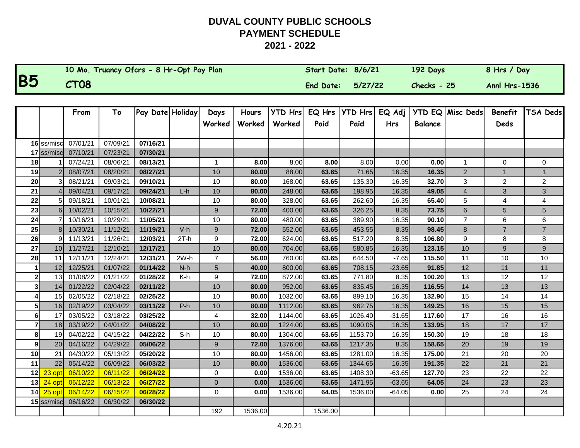|           | 10 Mo. Truancy Ofcrs - 8 Hr-Opt Pay Plan | Start Date: 8/6/21 | 192 Days      | 8 Hrs / Day          |
|-----------|------------------------------------------|--------------------|---------------|----------------------|
| <b>B5</b> | CT08                                     | End Date: 5/27/22  | $Checks - 25$ | <b>Annl Hrs-1536</b> |

|                |                 | From     | To       | Pay Date Holiday |        | Days             | Hours   | <b>YTD Hrs</b> | EQ Hrs  | <b>YTD Hrs</b> | EQ Adj     |                | <b>YTD EQ Misc Deds</b> | <b>Benefit</b> | <b>TSA Deds</b> |
|----------------|-----------------|----------|----------|------------------|--------|------------------|---------|----------------|---------|----------------|------------|----------------|-------------------------|----------------|-----------------|
|                |                 |          |          |                  |        | Worked           | Worked  | Worked         | Paid    | Paid           | <b>Hrs</b> | <b>Balance</b> |                         | Deds           |                 |
|                |                 |          |          |                  |        |                  |         |                |         |                |            |                |                         |                |                 |
|                | 16 ss/misc      | 07/01/21 | 07/09/21 | 07/16/21         |        |                  |         |                |         |                |            |                |                         |                |                 |
|                | 17 ss/misc      | 07/10/21 | 07/23/21 | 07/30/21         |        |                  |         |                |         |                |            |                |                         |                |                 |
| 18             |                 | 07/24/21 | 08/06/21 | 08/13/21         |        | $\mathbf{1}$     | 8.00    | 8.00           | 8.00    | 8.00           | 0.00       | 0.00           | $\mathbf{1}$            | 0              | 0               |
| 19             |                 | 08/07/21 | 08/20/21 | 08/27/21         |        | 10               | 80.00   | 88.00          | 63.65   | 71.65          | 16.35      | 16.35          | $\overline{2}$          | $\mathbf{1}$   | $\mathbf{1}$    |
| 20             |                 | 08/21/21 | 09/03/21 | 09/10/21         |        | 10               | 80.00   | 168.00         | 63.65   | 135.30         | 16.35      | 32.70          | 3                       | 2              | $\overline{c}$  |
| 21             |                 | 09/04/21 | 09/17/21 | 09/24/21         | $L-h$  | 10               | 80.00   | 248.00         | 63.65   | 198.95         | 16.35      | 49.05          | $\overline{4}$          | 3              | $\overline{3}$  |
| 22             |                 | 09/18/21 | 10/01/21 | 10/08/21         |        | 10               | 80.00   | 328.00         | 63.65   | 262.60         | 16.35      | 65.40          | 5                       | 4              | 4               |
| 23             | 6               | 10/02/21 | 10/15/21 | 10/22/21         |        | $\boldsymbol{9}$ | 72.00   | 400.00         | 63.65   | 326.25         | 8.35       | 73.75          | $\,$ 6 $\,$             | 5              | 5               |
| 24             |                 | 10/16/21 | 10/29/21 | 11/05/21         |        | 10               | 80.00   | 480.00         | 63.65   | 389.90         | 16.35      | 90.10          | $\overline{7}$          | 6              | 6               |
| 25             | 8 <sup>1</sup>  | 10/30/21 | 11/12/21 | 11/19/21         | $V-h$  | 9                | 72.00   | 552.00         | 63.65   | 453.55         | 8.35       | 98.45          | 8                       | $\overline{7}$ | $\overline{7}$  |
| 26             |                 | 11/13/21 | 11/26/21 | 12/03/21         | $2T-h$ | 9                | 72.00   | 624.00         | 63.65   | 517.20         | 8.35       | 106.80         | 9                       | 8              | 8               |
| 27             | 10 <sup>1</sup> | 11/27/21 | 12/10/21 | 12/17/21         |        | 10               | 80.00   | 704.00         | 63.65   | 580.85         | 16.35      | 123.15         | 10                      | 9              | 9               |
| 28             | 11              | 12/11/21 | 12/24/21 | 12/31/21         | $2W-h$ | $\overline{7}$   | 56.00   | 760.00         | 63.65   | 644.50         | $-7.65$    | 115.50         | 11                      | 10             | 10              |
|                | 12              | 12/25/21 | 01/07/22 | 01/14/22         | $N-h$  | 5                | 40.00   | 800.00         | 63.65   | 708.15         | $-23.65$   | 91.85          | 12                      | 11             | 11              |
| 2              | 13              | 01/08/22 | 01/21/22 | 01/28/22         | K-h    | 9                | 72.00   | 872.00         | 63.65   | 771.80         | 8.35       | 100.20         | 13                      | 12             | 12              |
| 3 <sup>l</sup> | 14              | 01/22/22 | 02/04/22 | 02/11/22         |        | 10               | 80.00   | 952.00         | 63.65   | 835.45         | 16.35      | 116.55         | 14                      | 13             | 13              |
|                | 15              | 02/05/22 | 02/18/22 | 02/25/22         |        | 10               | 80.00   | 1032.00        | 63.65   | 899.10         | 16.35      | 132.90         | 15                      | 14             | 14              |
| 5 <sup>1</sup> | 16              | 02/19/22 | 03/04/22 | 03/11/22         | $P-h$  | 10               | 80.00   | 1112.00        | 63.65   | 962.75         | 16.35      | 149.25         | 16                      | 15             | 15              |
| 61             | 17              | 03/05/22 | 03/18/22 | 03/25/22         |        | 4                | 32.00   | 1144.00        | 63.65   | 1026.40        | $-31.65$   | 117.60         | 17                      | 16             | 16              |
| $\overline{7}$ | 18              | 03/19/22 | 04/01/22 | 04/08/22         |        | 10               | 80.00   | 1224.00        | 63.65   | 1090.05        | 16.35      | 133.95         | 18                      | 17             | 17              |
| 8              | 19              | 04/02/22 | 04/15/22 | 04/22/22         | S-h    | 10               | 80.00   | 1304.00        | 63.65   | 1153.70        | 16.35      | 150.30         | 19                      | 18             | 18              |
| 9              | 20              | 04/16/22 | 04/29/22 | 05/06/22         |        | 9                | 72.00   | 1376.00        | 63.65   | 1217.35        | 8.35       | 158.65         | 20                      | 19             | 19              |
| 10             | 21              | 04/30/22 | 05/13/22 | 05/20/22         |        | 10               | 80.00   | 1456.00        | 63.65   | 1281.00        | 16.35      | 175.00         | 21                      | 20             | 20              |
| 11             | 22              | 05/14/22 | 06/09/22 | 06/03/22         |        | 10               | 80.00   | 1536.00        | 63.65   | 1344.65        | 16.35      | 191.35         | 22                      | 21             | 21              |
| 12             | 23 opt          | 06/10/22 | 06/11/22 | 06/24/22         |        | $\mathbf 0$      | 0.00    | 1536.00        | 63.65   | 1408.30        | $-63.65$   | 127.70         | 23                      | 22             | 22              |
| 13             | 24 opt          | 06/12/22 | 06/13/22 | 06/27/22         |        | $\overline{0}$   | 0.00    | 1536.00        | 63.65   | 1471.95        | $-63.65$   | 64.05          | 24                      | 23             | 23              |
| 14             | 25 opt          | 06/14/22 | 06/15/22 | 06/28/22         |        | 0                | 0.00    | 1536.00        | 64.05   | 1536.00        | $-64.05$   | 0.00           | 25                      | 24             | 24              |
|                | $15$ ss/misc    | 06/16/22 | 06/30/22 | 06/30/22         |        |                  |         |                |         |                |            |                |                         |                |                 |
|                |                 |          |          |                  |        | 192              | 1536.00 |                | 1536.00 |                |            |                |                         |                |                 |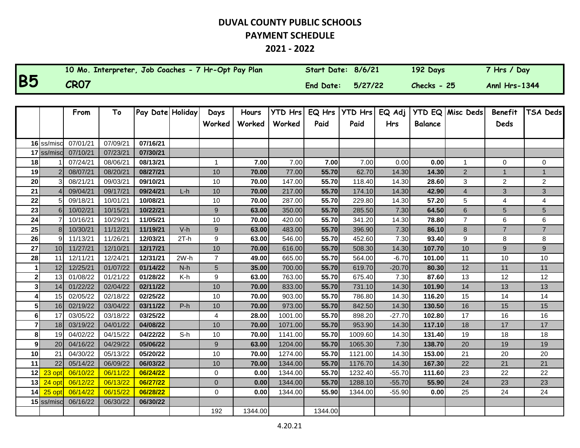#### **2021 - 2022**

|           | 10 Mo. Interpreter, Job Coaches - 7 Hr-Opt Pay Plan | Start Date: 8/6/21 |         | 192 Days      | 7 Hrs / Day          |
|-----------|-----------------------------------------------------|--------------------|---------|---------------|----------------------|
| <b>B5</b> | <b>CR07</b>                                         | End Date:          | 5/27/22 | $Checks - 25$ | <b>Anni Hrs-1344</b> |

|    |                 | From     | To       | Pay Date Holiday |        | Days             | Hours   | <b>YTD Hrs</b> | EQ Hrs  | <b>YTD Hrs</b> | EQ Adj     |                | <b>YTD EQ Misc Deds</b> | <b>Benefit</b> | TSA Deds       |
|----|-----------------|----------|----------|------------------|--------|------------------|---------|----------------|---------|----------------|------------|----------------|-------------------------|----------------|----------------|
|    |                 |          |          |                  |        | Worked           | Worked  | Worked         | Paid    | Paid           | <b>Hrs</b> | <b>Balance</b> |                         | Deds           |                |
|    |                 |          |          |                  |        |                  |         |                |         |                |            |                |                         |                |                |
|    | 16 ss/misc      | 07/01/21 | 07/09/21 | 07/16/21         |        |                  |         |                |         |                |            |                |                         |                |                |
|    | $17$ ss/misc    | 07/10/21 | 07/23/21 | 07/30/21         |        |                  |         |                |         |                |            |                |                         |                |                |
| 18 |                 | 07/24/21 | 08/06/21 | 08/13/21         |        | $\mathbf{1}$     | 7.00    | 7.00           | 7.00    | 7.00           | 0.00       | 0.00           | 1                       | 0              | 0              |
| 19 |                 | 08/07/21 | 08/20/21 | 08/27/21         |        | 10               | 70.00   | 77.00          | 55.70   | 62.70          | 14.30      | 14.30          | $\overline{2}$          | $\mathbf{1}$   | $\mathbf{1}$   |
| 20 |                 | 08/21/21 | 09/03/21 | 09/10/21         |        | 10               | 70.00   | 147.00         | 55.70   | 118.40         | 14.30      | 28.60          | 3                       | $\overline{2}$ | $\overline{2}$ |
| 21 |                 | 09/04/21 | 09/17/21 | 09/24/21         | $L-h$  | 10               | 70.00   | 217.00         | 55.70   | 174.10         | 14.30      | 42.90          | $\overline{4}$          | 3              | 3              |
| 22 |                 | 09/18/21 | 10/01/21 | 10/08/21         |        | 10               | 70.00   | 287.00         | 55.70   | 229.80         | 14.30      | 57.20          | 5                       | 4              | 4              |
| 23 | 6               | 10/02/21 | 10/15/21 | 10/22/21         |        | 9                | 63.00   | 350.00         | 55.70   | 285.50         | 7.30       | 64.50          | 6                       | 5              | 5              |
| 24 |                 | 10/16/21 | 10/29/21 | 11/05/21         |        | 10               | 70.00   | 420.00         | 55.70   | 341.20         | 14.30      | 78.80          | $\overline{7}$          | 6              | 6              |
| 25 | 8               | 10/30/21 | 11/12/21 | 11/19/21         | $V-h$  | 9                | 63.00   | 483.00         | 55.70   | 396.90         | 7.30       | 86.10          | 8                       | $\overline{7}$ | $\overline{7}$ |
| 26 | g               | 11/13/21 | 11/26/21 | 12/03/21         | $2T-h$ | 9                | 63.00   | 546.00         | 55.70   | 452.60         | 7.30       | 93.40          | 9                       | 8              | 8              |
| 27 | 10 <sup>1</sup> | 11/27/21 | 12/10/21 | 12/17/21         |        | 10               | 70.00   | 616.00         | 55.70   | 508.30         | 14.30      | 107.70         | 10                      | 9              | 9              |
| 28 | 11              | 12/11/21 | 12/24/21 | 12/31/21         | $2W-h$ | $\overline{7}$   | 49.00   | 665.00         | 55.70   | 564.00         | $-6.70$    | 101.00         | 11                      | 10             | 10             |
|    | 12              | 12/25/21 | 01/07/22 | 01/14/22         | $N-h$  | 5                | 35.00   | 700.00         | 55.70   | 619.70         | $-20.70$   | 80.30          | 12                      | 11             | 11             |
|    | 13              | 01/08/22 | 01/21/22 | 01/28/22         | K-h    | $\boldsymbol{9}$ | 63.00   | 763.00         | 55.70   | 675.40         | 7.30       | 87.60          | 13                      | 12             | 12             |
|    | 14              | 01/22/22 | 02/04/22 | 02/11/22         |        | 10               | 70.00   | 833.00         | 55.70   | 731.10         | 14.30      | 101.90         | 14                      | 13             | 13             |
|    | 15              | 02/05/22 | 02/18/22 | 02/25/22         |        | 10               | 70.00   | 903.00         | 55.70   | 786.80         | 14.30      | 116.20         | 15                      | 14             | 14             |
|    | 16              | 02/19/22 | 03/04/22 | 03/11/22         | $P-h$  | 10               | 70.00   | 973.00         | 55.70   | 842.50         | 14.30      | 130.50         | 16                      | 15             | 15             |
| 6  | 17              | 03/05/22 | 03/18/22 | 03/25/22         |        | 4                | 28.00   | 1001.00        | 55.70   | 898.20         | $-27.70$   | 102.80         | 17                      | 16             | 16             |
|    | 18              | 03/19/22 | 04/01/22 | 04/08/22         |        | 10               | 70.00   | 1071.00        | 55.70   | 953.90         | 14.30      | 117.10         | 18                      | 17             | 17             |
| 8  | 19              | 04/02/22 | 04/15/22 | 04/22/22         | $S-h$  | 10               | 70.00   | 1141.00        | 55.70   | 1009.60        | 14.30      | 131.40         | 19                      | 18             | 18             |
| 9  | 20              | 04/16/22 | 04/29/22 | 05/06/22         |        | $9$              | 63.00   | 1204.00        | 55.70   | 1065.30        | 7.30       | 138.70         | 20                      | 19             | 19             |
| 10 | 21              | 04/30/22 | 05/13/22 | 05/20/22         |        | 10               | 70.00   | 1274.00        | 55.70   | 1121.00        | 14.30      | 153.00         | 21                      | 20             | 20             |
| 11 | 22              | 05/14/22 | 06/09/22 | 06/03/22         |        | 10               | 70.00   | 1344.00        | 55.70   | 1176.70        | 14.30      | 167.30         | 22                      | 21             | 21             |
| 12 | $23$ opt        | 06/10/22 | 06/11/22 | 06/24/22         |        | 0                | 0.00    | 1344.00        | 55.70   | 1232.40        | $-55.70$   | 111.60         | 23                      | 22             | 22             |
| 13 | $24$ opt        | 06/12/22 | 06/13/22 | 06/27/22         |        | $\overline{0}$   | 0.00    | 1344.00        | 55.70   | 1288.10        | $-55.70$   | 55.90          | 24                      | 23             | 23             |
| 14 | 25 opt          | 06/14/22 | 06/15/22 | 06/28/22         |        | 0                | 0.00    | 1344.00        | 55.90   | 1344.00        | $-55.90$   | 0.00           | 25                      | 24             | 24             |
|    | $15$ ss/misc    | 06/16/22 | 06/30/22 | 06/30/22         |        |                  |         |                |         |                |            |                |                         |                |                |
|    |                 |          |          |                  |        | 192              | 1344.00 |                | 1344.00 |                |            |                |                         |                |                |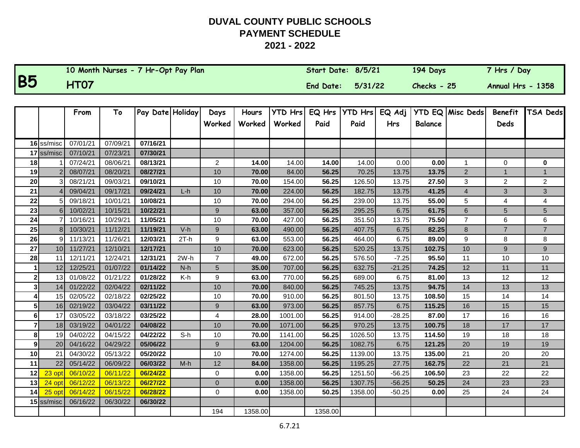|                |                            |                      |                      | 10 Month Nurses - 7 Hr-Opt Pay Plan |        |                         |                 |                          | Start Date: 8/5/21 |                        |                      | 194 Days       |                         | 7 Hrs / Day            |                |
|----------------|----------------------------|----------------------|----------------------|-------------------------------------|--------|-------------------------|-----------------|--------------------------|--------------------|------------------------|----------------------|----------------|-------------------------|------------------------|----------------|
| <b>B5</b>      |                            | <b>HT07</b>          |                      |                                     |        |                         |                 |                          | End Date:          | 5/31/22                |                      | Checks - 25    |                         | Annual Hrs - 1358      |                |
|                |                            |                      |                      |                                     |        |                         |                 |                          |                    |                        |                      |                |                         |                        |                |
|                |                            | From                 | To                   | Pay Date Holiday                    |        | Days<br>Worked          | Hours<br>Worked | <b>YTD Hrs</b><br>Worked | EQ Hrs<br>Paid     | <b>YTD Hrs</b><br>Paid | EQ Adj<br><b>Hrs</b> | <b>Balance</b> | YTD EQ Misc Deds        | <b>Benefit</b><br>Deds | TSA Deds       |
|                |                            |                      |                      |                                     |        |                         |                 |                          |                    |                        |                      |                |                         |                        |                |
|                | 16 ss/misc<br>$17$ ss/misc | 07/01/21<br>07/10/21 | 07/09/21<br>07/23/21 | 07/16/21<br>07/30/21                |        |                         |                 |                          |                    |                        |                      |                |                         |                        |                |
| 18             |                            | 07/24/21             | 08/06/21             | 08/13/21                            |        | $\overline{c}$          | 14.00           | 14.00                    | 14.00              | 14.00                  | 0.00                 | 0.00           | 1                       | $\Omega$               | 0              |
| 19             |                            | 08/07/21             | 08/20/21             | 08/27/21                            |        | 10                      | 70.00           | 84.00                    | 56.25              | 70.25                  | 13.75                | 13.75          | $\overline{2}$          | $\mathbf{1}$           | $\mathbf{1}$   |
| 20             |                            | 08/21/21             | 09/03/21             | 09/10/21                            |        | 10                      | 70.00           | 154.00                   | 56.25              | 126.50                 | 13.75                | 27.50          | 3                       | $\overline{2}$         | $\overline{c}$ |
| 21             |                            | 09/04/21             | 09/17/21             | 09/24/21                            | $L-h$  | $10$                    | 70.00           | 224.00                   | 56.25              | 182.75                 | 13.75                | 41.25          | $\overline{\mathbf{4}}$ | 3                      | 3              |
| 22             |                            | 09/18/21             | 10/01/21             | 10/08/21                            |        | 10                      | 70.00           | 294.00                   | 56.25              | 239.00                 | 13.75                | 55.00          | 5                       | $\overline{4}$         | 4              |
| 23             | 6                          | 10/02/21             | 10/15/21             | 10/22/21                            |        | $\boldsymbol{9}$        | 63.00           | 357.00                   | 56.25              | 295.25                 | 6.75                 | 61.75          | 6                       | 5                      | 5              |
| 24             |                            | 10/16/21             | 10/29/21             | 11/05/21                            |        | 10                      | 70.00           | 427.00                   | 56.25              | 351.50                 | 13.75                | 75.50          | $\overline{7}$          | 6                      | 6              |
| 25             | 8 <sup>1</sup>             | 10/30/21             | 11/12/21             | 11/19/21                            | $V-h$  | 9                       | 63.00           | 490.00                   | 56.25              | 407.75                 | 6.75                 | 82.25          | 8                       | $\overline{7}$         | $\overline{7}$ |
| 26             | 9I                         | 11/13/21             | 11/26/21             | 12/03/21                            | $2T-h$ | $\boldsymbol{9}$        | 63.00           | 553.00                   | 56.25              | 464.00                 | 6.75                 | 89.00          | 9                       | 8                      | 8              |
| 27             |                            | 10 11/27/21          | 12/10/21             | 12/17/21                            |        | 10                      | 70.00           | 623.00                   | 56.25              | 520.25                 | 13.75                | 102.75         | 10                      | 9                      | 9              |
| 28             | 11 <sup>1</sup>            | 12/11/21             | 12/24/21             | 12/31/21                            | $2W-h$ | $\overline{7}$          | 49.00           | 672.00                   | 56.25              | 576.50                 | $-7.25$              | 95.50          | 11                      | 10                     | $10$           |
|                | 12                         | 12/25/21             | 01/07/22             | 01/14/22                            | $N-h$  | 5                       | 35.00           | 707.00                   | 56.25              | 632.75                 | $-21.25$             | 74.25          | 12                      | 11                     | 11             |
| 2 <sup>1</sup> | 13                         | 01/08/22             | 01/21/22             | 01/28/22                            | K-h    | 9                       | 63.00           | 770.00                   | 56.25              | 689.00                 | 6.75                 | 81.00          | 13                      | 12                     | 12             |
| $\mathbf{3}$   | 14                         | 01/22/22             | 02/04/22             | 02/11/22                            |        | 10                      | 70.00           | 840.00                   | 56.25              | 745.25                 | 13.75                | 94.75          | 14                      | 13                     | 13             |
|                | 15                         | 02/05/22             | 02/18/22             | 02/25/22                            |        | 10                      | 70.00           | 910.00                   | 56.25              | 801.50                 | 13.75                | 108.50         | 15                      | 14                     | 14             |
| 5 <sup>1</sup> | 16 <sup>l</sup>            | 02/19/22             | 03/04/22             | 03/11/22                            |        | 9                       | 63.00           | 973.00                   | 56.25              | 857.75                 | 6.75                 | 115.25         | 16                      | 15                     | 15             |
| $6 \mid$       | 17                         | 03/05/22             | 03/18/22             | 03/25/22                            |        | $\overline{\mathbf{4}}$ | 28.00           | 1001.00                  | 56.25              | 914.00                 | $-28.25$             | 87.00          | 17                      | 16                     | 16             |
| $\overline{7}$ | 18 <sup>l</sup>            | 03/19/22             | 04/01/22             | 04/08/22                            |        | $10$                    | 70.00           | 1071.00                  | 56.25              | 970.25                 | 13.75                | 100.75         | 18                      | $17$                   | $17$           |
| 8              | 19 <sup>l</sup>            | 04/02/22             | 04/15/22             | 04/22/22                            | $S-h$  | 10                      | 70.00           | 1141.00                  | 56.25              | 1026.50                | 13.75                | 114.50         | 19                      | 18                     | 18             |
| 9              | 20                         | 04/16/22             | 04/29/22             | 05/06/22                            |        | 9                       | 63.00           | 1204.00                  | 56.25              | 1082.75                | 6.75                 | 121.25         | 20                      | 19                     | 19             |
| 10             | 21                         | 04/30/22             | 05/13/22             | 05/20/22                            |        | 10                      | 70.00           | 1274.00                  | 56.25              | 1139.00                | 13.75                | 135.00         | 21                      | 20                     | 20             |
| 11             | 22                         | 05/14/22             | 06/09/22             | 06/03/22                            | $M-h$  | 12                      | 84.00           | 1358.00                  | 56.25              | 1195.25                | 27.75                | 162.75         | 22                      | 21                     | 21             |
| 12             | 23 opt                     | 06/10/22             | 06/11/22             | 06/24/22                            |        | $\mathbf 0$             | 0.00            | 1358.00                  | 56.25              | 1251.50                | $-56.25$             | 106.50         | 23                      | 22                     | 22             |
| 13             | 24 opt                     | 06/12/22             | 06/13/22             | 06/27/22                            |        | $\mathbf 0$             | 0.00            | 1358.00                  | 56.25              | 1307.75                | $-56.25$             | 50.25          | 24                      | 23                     | 23             |
| 14             | $25$ opt                   | 06/14/22             | 06/15/22             | 06/28/22                            |        | 0                       | 0.00            | 1358.00                  | 50.25              | 1358.00                | $-50.25$             | 0.00           | 25                      | 24                     | 24             |
|                | $15$ ss/misc               | 06/16/22             | 06/30/22             | 06/30/22                            |        |                         |                 |                          |                    |                        |                      |                |                         |                        |                |
|                |                            |                      |                      |                                     |        | 194                     | 1358.00         |                          | 1358.00            |                        |                      |                |                         |                        |                |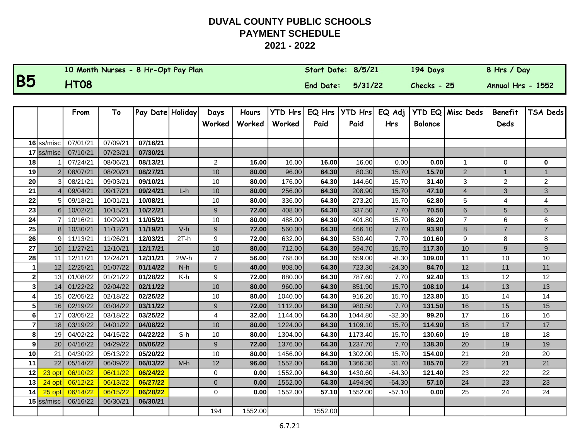|           | 10 Month Nurses - 8 Hr-Opt Pay Plan | Start Date: 8/5/21 |         | 194 Days      | 8 Hrs / Day       |
|-----------|-------------------------------------|--------------------|---------|---------------|-------------------|
| <b>B5</b> | <b>HT08</b>                         | <b>End Date:</b>   | 5/31/22 | $Checks - 25$ | Annual Hrs - 1552 |

|                |                 | From     | To       | Pay Date Holiday |        | Days             | Hours   | <b>YTD Hrs</b> | EQ Hrs  | <b>YTD Hrs</b> | EQ Adj     |                | YTD EQ Misc Deds | <b>Benefit</b> | TSA Deds       |
|----------------|-----------------|----------|----------|------------------|--------|------------------|---------|----------------|---------|----------------|------------|----------------|------------------|----------------|----------------|
|                |                 |          |          |                  |        | Worked           | Worked  | Worked         | Paid    | Paid           | <b>Hrs</b> | <b>Balance</b> |                  | Deds           |                |
|                |                 |          |          |                  |        |                  |         |                |         |                |            |                |                  |                |                |
|                | 16 ss/misc      | 07/01/21 | 07/09/21 | 07/16/21         |        |                  |         |                |         |                |            |                |                  |                |                |
|                | 17 ss/misc      | 07/10/21 | 07/23/21 | 07/30/21         |        |                  |         |                |         |                |            |                |                  |                |                |
| 18             |                 | 07/24/21 | 08/06/21 | 08/13/21         |        | $\overline{2}$   | 16.00   | 16.00          | 16.00   | 16.00          | 0.00       | 0.00           | 1                | $\mathbf 0$    | 0              |
| 19             |                 | 08/07/21 | 08/20/21 | 08/27/21         |        | 10               | 80.00   | 96.00          | 64.30   | 80.30          | 15.70      | 15.70          | $\overline{2}$   | $\mathbf{1}$   | $\mathbf{1}$   |
| 20             |                 | 08/21/21 | 09/03/21 | 09/10/21         |        | 10               | 80.00   | 176.00         | 64.30   | 144.60         | 15.70      | 31.40          | 3                | $\overline{2}$ | $\overline{a}$ |
| 21             |                 | 09/04/21 | 09/17/21 | 09/24/21         | $L-h$  | 10               | 80.00   | 256.00         | 64.30   | 208.90         | 15.70      | 47.10          | $\overline{4}$   | 3              | $\overline{3}$ |
| 22             | 5               | 09/18/21 | 10/01/21 | 10/08/21         |        | 10               | 80.00   | 336.00         | 64.30   | 273.20         | 15.70      | 62.80          | 5                | $\overline{4}$ | 4              |
| 23             | 6 <sup>1</sup>  | 10/02/21 | 10/15/21 | 10/22/21         |        | 9                | 72.00   | 408.00         | 64.30   | 337.50         | 7.70       | 70.50          | 6                | 5              | 5              |
| 24             |                 | 10/16/21 | 10/29/21 | 11/05/21         |        | 10               | 80.00   | 488.00         | 64.30   | 401.80         | 15.70      | 86.20          | $\overline{7}$   | $\,6$          | 6              |
| 25             | 8 <sub>l</sub>  | 10/30/21 | 11/12/21 | 11/19/21         | $V-h$  | 9                | 72.00   | 560.00         | 64.30   | 466.10         | 7.70       | 93.90          | 8                | $\overline{7}$ | $\overline{7}$ |
| 26             | 9               | 11/13/21 | 11/26/21 | 12/03/21         | $2T-h$ | 9                | 72.00   | 632.00         | 64.30   | 530.40         | 7.70       | 101.60         | 9                | 8              | 8              |
| 27             | 10 <sup>1</sup> | 11/27/21 | 12/10/21 | 12/17/21         |        | 10               | 80.00   | 712.00         | 64.30   | 594.70         | 15.70      | 117.30         | 10               | 9              | 9              |
| 28             | 11              | 12/11/21 | 12/24/21 | 12/31/21         | 2W-h   | $\overline{7}$   | 56.00   | 768.00         | 64.30   | 659.00         | $-8.30$    | 109.00         | 11               | 10             | 10             |
|                | 12              | 12/25/21 | 01/07/22 | 01/14/22         | $N-h$  | 5                | 40.00   | 808.00         | 64.30   | 723.30         | $-24.30$   | 84.70          | 12               | 11             | 11             |
| $\mathbf{2}$   | 13 <sup>1</sup> | 01/08/22 | 01/21/22 | 01/28/22         | K-h    | 9                | 72.00   | 880.00         | 64.30   | 787.60         | 7.70       | 92.40          | 13               | 12             | 12             |
| 3              | 14              | 01/22/22 | 02/04/22 | 02/11/22         |        | 10               | 80.00   | 960.00         | 64.30   | 851.90         | 15.70      | 108.10         | 14               | 13             | 13             |
| 4              | 15 <sup>1</sup> | 02/05/22 | 02/18/22 | 02/25/22         |        | 10               | 80.00   | 1040.00        | 64.30   | 916.20         | 15.70      | 123.80         | 15               | 14             | 14             |
| 5              | 16 <sup>1</sup> | 02/19/22 | 03/04/22 | 03/11/22         |        | $\boldsymbol{9}$ | 72.00   | 1112.00        | 64.30   | 980.50         | 7.70       | 131.50         | 16               | 15             | 15             |
| 6              | 17              | 03/05/22 | 03/18/22 | 03/25/22         |        | 4                | 32.00   | 1144.00        | 64.30   | 1044.80        | $-32.30$   | 99.20          | 17               | 16             | 16             |
| $\overline{7}$ | 18 <sup>1</sup> | 03/19/22 | 04/01/22 | 04/08/22         |        | 10               | 80.00   | 1224.00        | 64.30   | 1109.10        | 15.70      | 114.90         | 18               | 17             | 17             |
| 8              | 19              | 04/02/22 | 04/15/22 | 04/22/22         | $S-h$  | 10               | 80.00   | 1304.00        | 64.30   | 1173.40        | 15.70      | 130.60         | 19               | 18             | 18             |
| 9              | 20              | 04/16/22 | 04/29/22 | 05/06/22         |        | 9                | 72.00   | 1376.00        | 64.30   | 1237.70        | 7.70       | 138.30         | 20               | 19             | 19             |
| 10             | 21              | 04/30/22 | 05/13/22 | 05/20/22         |        | 10               | 80.00   | 1456.00        | 64.30   | 1302.00        | 15.70      | 154.00         | 21               | 20             | 20             |
| 11             | 22              | 05/14/22 | 06/09/22 | 06/03/22         | $M-h$  | 12               | 96.00   | 1552.00        | 64.30   | 1366.30        | 31.70      | 185.70         | 22               | 21             | 21             |
| 12             | 23 opt          | 06/10/22 | 06/11/22 | 06/24/22         |        | $\mathbf 0$      | 0.00    | 1552.00        | 64.30   | 1430.60        | $-64.30$   | 121.40         | 23               | 22             | 22             |
| 13             | 24 opt          | 06/12/22 | 06/13/22 | 06/27/22         |        | $\mathbf{0}$     | 0.00    | 1552.00        | 64.30   | 1494.90        | $-64.30$   | 57.10          | 24               | 23             | 23             |
| 14             | $25$ opt        | 06/14/22 | 06/15/22 | 06/28/22         |        | 0                | 0.00    | 1552.00        | 57.10   | 1552.00        | $-57.10$   | 0.00           | 25               | 24             | 24             |
|                | 15 ss/misc      | 06/16/22 | 06/30/21 | 06/30/21         |        |                  |         |                |         |                |            |                |                  |                |                |
|                |                 |          |          |                  |        | 194              | 1552.00 |                | 1552.00 |                |            |                |                  |                |                |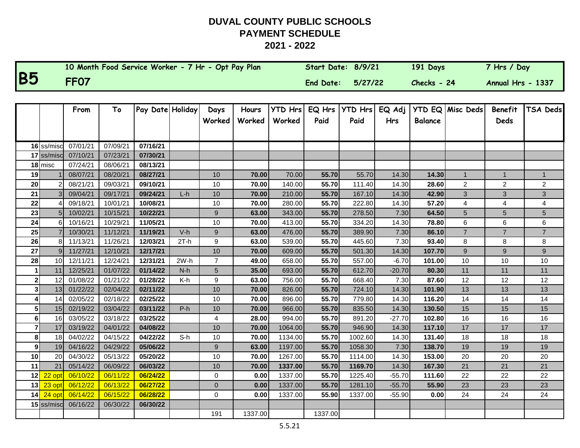|           | 10 Month Food Service Worker - 7 Hr - Opt Pay Plan | Start Date: 8/9/21 |         | 191 Days    | 7 Hrs / Day       |
|-----------|----------------------------------------------------|--------------------|---------|-------------|-------------------|
| <b>B5</b> | <b>FF07</b>                                        | End Date:          | 5/27/22 | Checks - 24 | Annual Hrs - 1337 |

|                |                 | From     | To       | Pay Date Holiday |        | Days             | Hours   | <b>YTD Hrs</b> | EQ Hrs  | <b>YTD Hrs</b> | EQ Adj   | <b>YTD EQ</b>  | Misc Deds        | Benefit        | <b>TSA Deds</b> |
|----------------|-----------------|----------|----------|------------------|--------|------------------|---------|----------------|---------|----------------|----------|----------------|------------------|----------------|-----------------|
|                |                 |          |          |                  |        | Worked           | Worked  | Worked         | Paid    | Paid           | Hrs      | <b>Balance</b> |                  | Deds           |                 |
|                |                 |          |          |                  |        |                  |         |                |         |                |          |                |                  |                |                 |
|                | 16 ss/misc      | 07/01/21 | 07/09/21 | 07/16/21         |        |                  |         |                |         |                |          |                |                  |                |                 |
|                | 17 ss/misc      | 07/10/21 | 07/23/21 | 07/30/21         |        |                  |         |                |         |                |          |                |                  |                |                 |
|                | $18$ misc       | 07/24/21 | 08/06/21 | 08/13/21         |        |                  |         |                |         |                |          |                |                  |                |                 |
| 19             |                 | 08/07/21 | 08/20/21 | 08/27/21         |        | 10               | 70.00   | 70.00          | 55.70   | 55.70          | 14.30    | 14.30          | $\mathbf{1}$     | $\mathbf{1}$   | $\mathbf{1}$    |
| 20             |                 | 08/21/21 | 09/03/21 | 09/10/21         |        | 10               | 70.00   | 140.00         | 55.70   | 111.40         | 14.30    | 28.60          | $\overline{c}$   | 2              | $\overline{c}$  |
| 21             |                 | 09/04/21 | 09/17/21 | 09/24/21         | $L-h$  | 10               | 70.00   | 210.00         | 55.70   | 167.10         | 14.30    | 42.90          | $\mathbf{3}$     | 3              | $\overline{3}$  |
| 22             |                 | 09/18/21 | 10/01/21 | 10/08/21         |        | 10               | 70.00   | 280.00         | 55.70   | 222.80         | 14.30    | 57.20          | $\overline{4}$   | 4              | $\overline{4}$  |
| 23             |                 | 10/02/21 | 10/15/21 | 10/22/21         |        | 9                | 63.00   | 343.00         | 55.70   | 278.50         | 7.30     | 64.50          | $\overline{5}$   | 5              | 5               |
| 24             | 6               | 10/16/21 | 10/29/21 | 11/05/21         |        | 10               | 70.00   | 413.00         | 55.70   | 334.20         | 14.30    | 78.80          | 6                | 6              | 6               |
| 25             |                 | 10/30/21 | 11/12/21 | 11/19/21         | $V-h$  | 9                | 63.00   | 476.00         | 55.70   | 389.90         | 7.30     | 86.10          | $\overline{7}$   | $\overline{7}$ | $\overline{7}$  |
| 26             | 8               | 11/13/21 | 11/26/21 | 12/03/21         | $2T-h$ | 9                | 63.00   | 539.00         | 55.70   | 445.60         | 7.30     | 93.40          | 8                | 8              | 8               |
| 27             | $\overline{Q}$  | 11/27/21 | 12/10/21 | 12/17/21         |        | 10               | 70.00   | 609.00         | 55.70   | 501.30         | 14.30    | 107.70         | $\boldsymbol{9}$ | 9              | 9               |
| 28             | 10 <sup>1</sup> | 12/11/21 | 12/24/21 | 12/31/21         | 2W-h   | $\overline{7}$   | 49.00   | 658.00         | 55.70   | 557.00         | $-6.70$  | 101.00         | 10               | 10             | $10$            |
|                | 11              | 12/25/21 | 01/07/22 | 01/14/22         | $N-h$  | 5                | 35.00   | 693.00         | 55.70   | 612.70         | $-20.70$ | 80.30          | 11               | 11             | 11              |
| $\mathbf{2}$   | 12              | 01/08/22 | 01/21/22 | 01/28/22         | K-h    | 9                | 63.00   | 756.00         | 55.70   | 668.40         | 7.30     | 87.60          | 12               | 12             | 12              |
| 3 <sup>1</sup> | 13              | 01/22/22 | 02/04/22 | 02/11/22         |        | 10               | 70.00   | 826.00         | 55.70   | 724.10         | 14.30    | 101.90         | 13               | 13             | 13              |
| 4              | 14              | 02/05/22 | 02/18/22 | 02/25/22         |        | 10               | 70.00   | 896.00         | 55.70   | 779.80         | 14.30    | 116.20         | 14               | 14             | 14              |
| 5 <sup>1</sup> | 15 <sup>1</sup> | 02/19/22 | 03/04/22 | 03/11/22         | $P-h$  | 10               | 70.00   | 966.00         | 55.70   | 835.50         | 14.30    | 130.50         | 15               | 15             | 15              |
| 6              | 16              | 03/05/22 | 03/18/22 | 03/25/22         |        | 4                | 28.00   | 994.00         | 55.70   | 891.20         | $-27.70$ | 102.80         | 16               | 16             | 16              |
|                | 17              | 03/19/22 | 04/01/22 | 04/08/22         |        | 10               | 70.00   | 1064.00        | 55.70   | 946.90         | 14.30    | 117.10         | 17               | 17             | 17              |
| 8              | 18              | 04/02/22 | 04/15/22 | 04/22/22         | $S-h$  | 10               | 70.00   | 1134.00        | 55.70   | 1002.60        | 14.30    | 131.40         | 18               | 18             | 18              |
| $\overline{9}$ | 19 <sup>l</sup> | 04/16/22 | 04/29/22 | 05/06/22         |        | $\boldsymbol{9}$ | 63.00   | 1197.00        | 55.70   | 1058.30        | 7.30     | 138.70         | 19               | 19             | 19              |
| 10             | 20              | 04/30/22 | 05/13/22 | 05/20/22         |        | 10               | 70.00   | 1267.00        | 55.70   | 1114.00        | 14.30    | 153.00         | 20               | 20             | 20              |
| 11             | 21              | 05/14/22 | 06/09/22 | 06/03/22         |        | 10               | 70.00   | 1337.00        | 55.70   | 1169.70        | 14.30    | 167.30         | 21               | 21             | 21              |
| 12             | $22$ opt        | 06/10/22 | 06/11/22 | 06/24/22         |        | 0                | 0.00    | 1337.00        | 55.70   | 1225.40        | $-55.70$ | 111.60         | 22               | 22             | 22              |
| 13             | 23 opt          | 06/12/22 | 06/13/22 | 06/27/22         |        | $\overline{0}$   | 0.00    | 1337.00        | 55.70   | 1281.10        | $-55.70$ | 55.90          | 23               | 23             | 23              |
| 14             | 24 opt          | 06/14/22 | 06/15/22 | 06/28/22         |        | $\mathbf 0$      | 0.00    | 1337.00        | 55.90   | 1337.00        | $-55.90$ | 0.00           | 24               | 24             | 24              |
|                | $15$ ss/misc    | 06/16/22 | 06/30/22 | 06/30/22         |        |                  |         |                |         |                |          |                |                  |                |                 |
|                |                 |          |          |                  |        | 191              | 1337.00 |                | 1337.00 |                |          |                |                  |                |                 |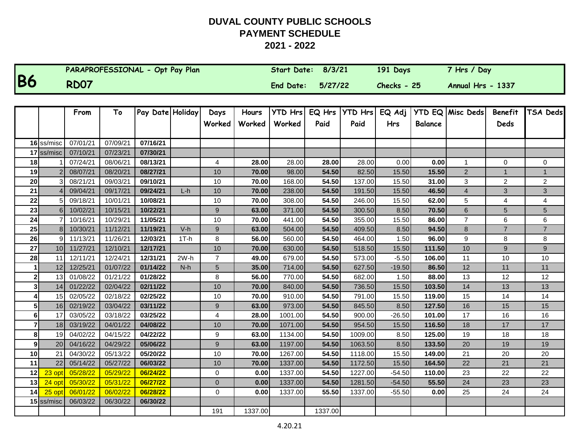|           | PARAPROFESSIONAL - Opt Pay Plan | Start Date: 8/3/21 | 191 Days      | 7 Hrs / Day       |
|-----------|---------------------------------|--------------------|---------------|-------------------|
| <b>B6</b> | <b>RD07</b>                     | End Date: 5/27/22  | $Checks - 25$ | Annual Hrs - 1337 |

|                |                 | From     | To       | Pay Date Holiday |        | Days             | Hours   | <b>YTD Hrs</b> | EQ Hrs  | YTD Hrs | EQ Adj     |                | YTD EQ Misc Deds | <b>Benefit</b> | TSA Deds       |
|----------------|-----------------|----------|----------|------------------|--------|------------------|---------|----------------|---------|---------|------------|----------------|------------------|----------------|----------------|
|                |                 |          |          |                  |        | Worked           | Worked  | Worked         | Paid    | Paid    | <b>Hrs</b> | <b>Balance</b> |                  | Deds           |                |
|                |                 |          |          |                  |        |                  |         |                |         |         |            |                |                  |                |                |
|                | 16 ss/misc      | 07/01/21 | 07/09/21 | 07/16/21         |        |                  |         |                |         |         |            |                |                  |                |                |
|                | 17 ss/misc      | 07/10/21 | 07/23/21 | 07/30/21         |        |                  |         |                |         |         |            |                |                  |                |                |
| 18             |                 | 07/24/21 | 08/06/21 | 08/13/21         |        | 4                | 28.00   | 28.00          | 28.00   | 28.00   | 0.00       | 0.00           | 1                | $\Omega$       | 0              |
| 19             |                 | 08/07/21 | 08/20/21 | 08/27/21         |        | 10               | 70.00   | 98.00          | 54.50   | 82.50   | 15.50      | 15.50          | $\overline{2}$   | $\mathbf{1}$   |                |
| 20             |                 | 08/21/21 | 09/03/21 | 09/10/21         |        | 10               | 70.00   | 168.00         | 54.50   | 137.00  | 15.50      | 31.00          | 3                | $\overline{c}$ | $\overline{a}$ |
| 21             |                 | 09/04/21 | 09/17/21 | 09/24/21         | $L-h$  | 10               | 70.00   | 238.00         | 54.50   | 191.50  | 15.50      | 46.50          | 4                | 3              | 3              |
| 22             | 51              | 09/18/21 | 10/01/21 | 10/08/21         |        | 10               | 70.00   | 308.00         | 54.50   | 246.00  | 15.50      | 62.00          | 5                | 4              | 4              |
| 23             | 6 <sup>1</sup>  | 10/02/21 | 10/15/21 | 10/22/21         |        | 9                | 63.00   | 371.00         | 54.50   | 300.50  | 8.50       | 70.50          | 6                | 5              | 5              |
| 24             | $\overline{7}$  | 10/16/21 | 10/29/21 | 11/05/21         |        | $10$             | 70.00   | 441.00         | 54.50   | 355.00  | 15.50      | 86.00          | $\overline{7}$   | 6              | 6              |
| 25             | 8 <sup>1</sup>  | 10/30/21 | 11/12/21 | 11/19/21         | $V-h$  | 9                | 63.00   | 504.00         | 54.50   | 409.50  | 8.50       | 94.50          | 8                | $\overline{7}$ | $\overline{7}$ |
| 26             | 9               | 11/13/21 | 11/26/21 | 12/03/21         | $1T-h$ | 8                | 56.00   | 560.00         | 54.50   | 464.00  | 1.50       | 96.00          | 9                | 8              | 8              |
| 27             | 10 <sup>1</sup> | 11/27/21 | 12/10/21 | 12/17/21         |        | 10               | 70.00   | 630.00         | 54.50   | 518.50  | 15.50      | 111.50         | 10               | 9              | 9              |
| 28             | 11              | 12/11/21 | 12/24/21 | 12/31/21         | $2W-h$ | $\overline{7}$   | 49.00   | 679.00         | 54.50   | 573.00  | $-5.50$    | 106.00         | 11               | 10             | 10             |
|                | 12              | 12/25/21 | 01/07/22 | 01/14/22         | $N-h$  | 5                | 35.00   | 714.00         | 54.50   | 627.50  | $-19.50$   | 86.50          | 12               | 11             | 11             |
| 2 <sub>1</sub> | 13              | 01/08/22 | 01/21/22 | 01/28/22         |        | 8                | 56.00   | 770.00         | 54.50   | 682.00  | 1.50       | 88.00          | 13               | 12             | 12             |
| 31             | 14              | 01/22/22 | 02/04/22 | 02/11/22         |        | 10               | 70.00   | 840.00         | 54.50   | 736.50  | 15.50      | 103.50         | 14               | 13             | 13             |
|                | 15 <sup>1</sup> | 02/05/22 | 02/18/22 | 02/25/22         |        | 10               | 70.00   | 910.00         | 54.50   | 791.00  | 15.50      | 119.00         | 15               | 14             | 14             |
| 5              | 16              | 02/19/22 | 03/04/22 | 03/11/22         |        | $\boldsymbol{9}$ | 63.00   | 973.00         | 54.50   | 845.50  | 8.50       | 127.50         | 16               | 15             | 15             |
| 6              | 17              | 03/05/22 | 03/18/22 | 03/25/22         |        | 4                | 28.00   | 1001.00        | 54.50   | 900.00  | $-26.50$   | 101.00         | 17               | 16             | 16             |
| $\mathbf{z}$   | 18              | 03/19/22 | 04/01/22 | 04/08/22         |        | 10               | 70.00   | 1071.00        | 54.50   | 954.50  | 15.50      | 116.50         | 18               | 17             | 17             |
| 8              | 19 <sup>l</sup> | 04/02/22 | 04/15/22 | 04/22/22         |        | 9                | 63.00   | 1134.00        | 54.50   | 1009.00 | 8.50       | 125.00         | 19               | 18             | 18             |
| 9              | <b>20</b>       | 04/16/22 | 04/29/22 | 05/06/22         |        | $9\,$            | 63.00   | 1197.00        | 54.50   | 1063.50 | 8.50       | 133.50         | 20               | 19             | 19             |
| 10             | 21              | 04/30/22 | 05/13/22 | 05/20/22         |        | 10               | 70.00   | 1267.00        | 54.50   | 1118.00 | 15.50      | 149.00         | 21               | 20             | 20             |
| 11             | 22              | 05/14/22 | 05/27/22 | 06/03/22         |        | 10               | 70.00   | 1337.00        | 54.50   | 1172.50 | 15.50      | 164.50         | 22               | 21             | 21             |
| 12             | 23 opt          | 05/28/22 | 05/29/22 | 06/24/22         |        | 0                | 0.00    | 1337.00        | 54.50   | 1227.00 | -54.50     | 110.00         | 23               | 22             | 22             |
| 13             | 24 opt          | 05/30/22 | 05/31/22 | 06/27/22         |        | $\pmb{0}$        | 0.00    | 1337.00        | 54.50   | 1281.50 | $-54.50$   | 55.50          | 24               | 23             | 23             |
| 14             | $25$ opt        | 06/01/22 | 06/02/22 | 06/28/22         |        | 0                | 0.00    | 1337.00        | 55.50   | 1337.00 | $-55.50$   | 0.00           | 25               | 24             | 24             |
|                | $15$ ss/misc    | 06/03/22 | 06/30/22 | 06/30/22         |        |                  |         |                |         |         |            |                |                  |                |                |
|                |                 |          |          |                  |        | 191              | 1337.00 |                | 1337.00 |         |            |                |                  |                |                |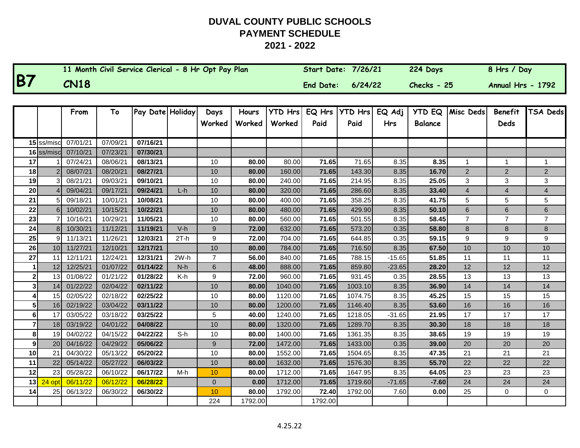|           | 11 Month Civil Service Clerical - 8 Hr Opt Pay Plan | <b>Start Date: 7/26/21</b> |         | 224 Days      | 8 Hrs / Day       |
|-----------|-----------------------------------------------------|----------------------------|---------|---------------|-------------------|
| <b>B7</b> | <b>CN18</b>                                         | End Date:                  | 6/24/22 | $Checks - 25$ | Annual Hrs - 1792 |

|                         |                 | From     | To       | Pay Date Holiday |        | Days             | Hours   | <b>YTD Hrs</b> | EQ Hrs  | <b>YTD Hrs</b> | EQ Adj     | <b>YTD EQ</b>  | Misc Deds               | <b>Benefit</b> | TSA Deds       |
|-------------------------|-----------------|----------|----------|------------------|--------|------------------|---------|----------------|---------|----------------|------------|----------------|-------------------------|----------------|----------------|
|                         |                 |          |          |                  |        | Worked           | Worked  | Worked         | Paid    | Paid           | <b>Hrs</b> | <b>Balance</b> |                         | Deds           |                |
|                         |                 |          |          |                  |        |                  |         |                |         |                |            |                |                         |                |                |
|                         | 15 ss/miso      | 07/01/21 | 07/09/21 | 07/16/21         |        |                  |         |                |         |                |            |                |                         |                |                |
|                         | 16 ss/misc      | 07/10/21 | 07/23/21 | 07/30/21         |        |                  |         |                |         |                |            |                |                         |                |                |
| 17                      |                 | 07/24/21 | 08/06/21 | 08/13/21         |        | 10               | 80.00   | 80.00          | 71.65   | 71.65          | 8.35       | 8.35           | 1                       | $\mathbf 1$    | 1              |
| 18                      |                 | 08/07/21 | 08/20/21 | 08/27/21         |        | 10               | 80.00   | 160.00         | 71.65   | 143.30         | 8.35       | 16.70          | $\overline{2}$          | $\overline{2}$ | $\overline{2}$ |
| 19                      |                 | 08/21/21 | 09/03/21 | 09/10/21         |        | 10               | 80.00   | 240.00         | 71.65   | 214.95         | 8.35       | 25.05          | 3                       | 3              | 3              |
| 20                      |                 | 09/04/21 | 09/17/21 | 09/24/21         | $L-h$  | 10               | 80.00   | 320.00         | 71.65   | 286.60         | 8.35       | 33.40          | $\overline{\mathbf{4}}$ | $\overline{4}$ | 4              |
| 21                      |                 | 09/18/21 | 10/01/21 | 10/08/21         |        | 10               | 80.00   | 400.00         | 71.65   | 358.25         | 8.35       | 41.75          | 5                       | 5              | 5              |
| 22                      | 61              | 10/02/21 | 10/15/21 | 10/22/21         |        | 10               | 80.00   | 480.00         | 71.65   | 429.90         | 8.35       | 50.10          | 6                       | 6              | 6              |
| 23                      |                 | 10/16/21 | 10/29/21 | 11/05/21         |        | 10               | 80.00   | 560.00         | 71.65   | 501.55         | 8.35       | 58.45          | $\overline{7}$          | $\overline{7}$ | $\overline{7}$ |
| 24                      | 8 <sup>1</sup>  | 10/30/21 | 11/12/21 | 11/19/21         | $V-h$  | $9\,$            | 72.00   | 632.00         | 71.65   | 573.20         | 0.35       | 58.80          | 8                       | 8              | 8              |
| 25                      |                 | 11/13/21 | 11/26/21 | 12/03/21         | $2T-h$ | 9                | 72.00   | 704.00         | 71.65   | 644.85         | 0.35       | 59.15          | 9                       | 9              | 9              |
| 26                      | 10 <sup>1</sup> | 11/27/21 | 12/10/21 | 12/17/21         |        | 10               | 80.00   | 784.00         | 71.65   | 716.50         | 8.35       | 67.50          | 10                      | 10             | 10             |
| 27                      | 11              | 12/11/21 | 12/24/21 | 12/31/21         | $2W-h$ | $\overline{7}$   | 56.00   | 840.00         | 71.65   | 788.15         | $-15.65$   | 51.85          | 11                      | 11             | 11             |
|                         | 12              | 12/25/21 | 01/07/22 | 01/14/22         | $N-h$  | $\,6$            | 48.00   | 888.00         | 71.65   | 859.80         | $-23.65$   | 28.20          | 12                      | 12             | 12             |
| $\mathbf{2}$            | 13              | 01/08/22 | 01/21/22 | 01/28/22         | K-h    | $\boldsymbol{9}$ | 72.00   | 960.00         | 71.65   | 931.45         | 0.35       | 28.55          | 13                      | 13             | 13             |
| $\overline{\mathbf{3}}$ | 14              | 01/22/22 | 02/04/22 | 02/11/22         |        | 10               | 80.00   | 1040.00        | 71.65   | 1003.10        | 8.35       | 36.90          | 14                      | 14             | 14             |
| 4                       | 15              | 02/05/22 | 02/18/22 | 02/25/22         |        | 10               | 80.00   | 1120.00        | 71.65   | 1074.75        | 8.35       | 45.25          | 15                      | 15             | 15             |
| 5 <sup>1</sup>          | 16              | 02/19/22 | 03/04/22 | 03/11/22         |        | 10               | 80.00   | 1200.00        | 71.65   | 1146.40        | 8.35       | 53.60          | 16                      | 16             | 16             |
| 6                       | 17              | 03/05/22 | 03/18/22 | 03/25/22         |        | 5                | 40.00   | 1240.00        | 71.65   | 1218.05        | $-31.65$   | 21.95          | 17                      | 17             | 17             |
| 7                       | 18              | 03/19/22 | 04/01/22 | 04/08/22         |        | 10               | 80.00   | 1320.00        | 71.65   | 1289.70        | 8.35       | 30.30          | 18                      | 18             | 18             |
| 8                       | 19              | 04/02/22 | 04/15/22 | 04/22/22         | $S-h$  | 10               | 80.00   | 1400.00        | 71.65   | 1361.35        | 8.35       | 38.65          | 19                      | 19             | 19             |
| 9                       | 20              | 04/16/22 | 04/29/22 | 05/06/22         |        | $\boldsymbol{9}$ | 72.00   | 1472.00        | 71.65   | 1433.00        | 0.35       | 39.00          | 20                      | 20             | 20             |
| 10 <sup>1</sup>         | 21              | 04/30/22 | 05/13/22 | 05/20/22         |        | 10               | 80.00   | 1552.00        | 71.65   | 1504.65        | 8.35       | 47.35          | 21                      | 21             | 21             |
| 11                      | 22              | 05/14/22 | 05/27/22 | 06/03/22         |        | 10               | 80.00   | 1632.00        | 71.65   | 1576.30        | 8.35       | 55.70          | 22                      | 22             | 22             |
| 12                      | 23              | 05/28/22 | 06/10/22 | 06/17/22         | M-h    | 10               | 80.00   | 1712.00        | 71.65   | 1647.95        | 8.35       | 64.05          | 23                      | 23             | 23             |
| 13                      | $24$ op         | 06/11/22 | 06/12/22 | 06/28/22         |        | $\mathbf{0}$     | 0.00    | 1712.00        | 71.65   | 1719.60        | $-71.65$   | $-7.60$        | 24                      | 24             | 24             |
| 14                      | 25              | 06/13/22 | 06/30/22 | 06/30/22         |        | 10               | 80.00   | 1792.00        | 72.40   | 1792.00        | 7.60       | 0.00           | 25                      | $\Omega$       | 0              |
|                         |                 |          |          |                  |        | 224              | 1792.00 |                | 1792.00 |                |            |                |                         |                |                |